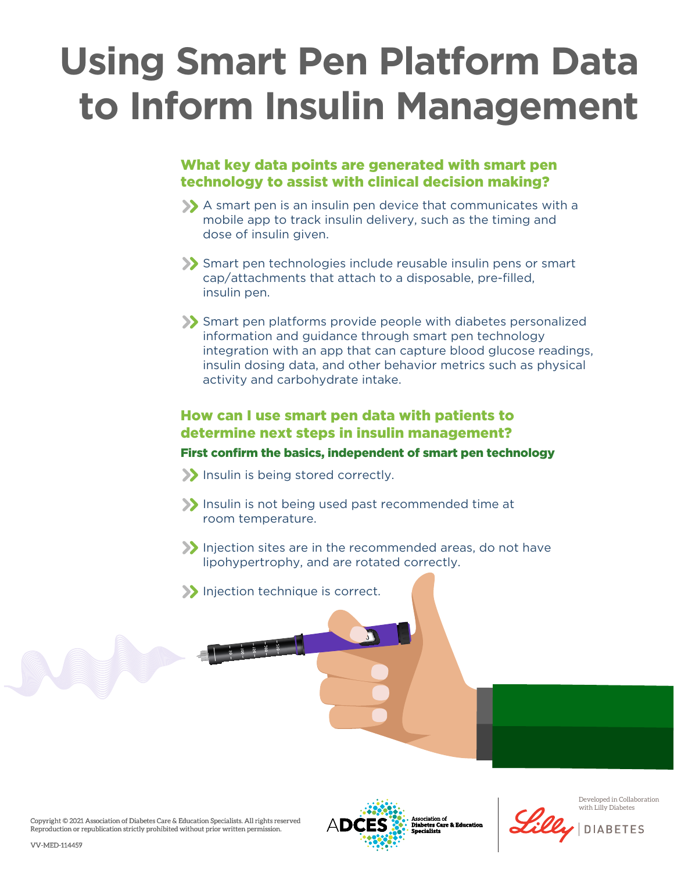# **Using Smart Pen Platform Data to Inform Insulin Management**

## What key data points are generated with smart pen technology to assist with clinical decision making?

- A smart pen is an insulin pen device that communicates with a mobile app to track insulin delivery, such as the timing and dose of insulin given.
- Smart pen technologies include reusable insulin pens or smart cap/attachments that attach to a disposable, pre-filled, insulin pen.
- Smart pen platforms provide people with diabetes personalized information and guidance through smart pen technology integration with an app that can capture blood glucose readings, insulin dosing data, and other behavior metrics such as physical activity and carbohydrate intake.

## How can I use smart pen data with patients to determine next steps in insulin management?

#### First confirm the basics, independent of smart pen technology

- Insulin is being stored correctly.
- Insulin is not being used past recommended time at room temperature.
- Injection sites are in the recommended areas, do not have lipohypertrophy, and are rotated correctly.
- Injection technique is correct.





Association of<br>Diabetes Care & Education<br>Snecialists



Developed in Collaboration with Lilly Diabetes

**DIABETES**